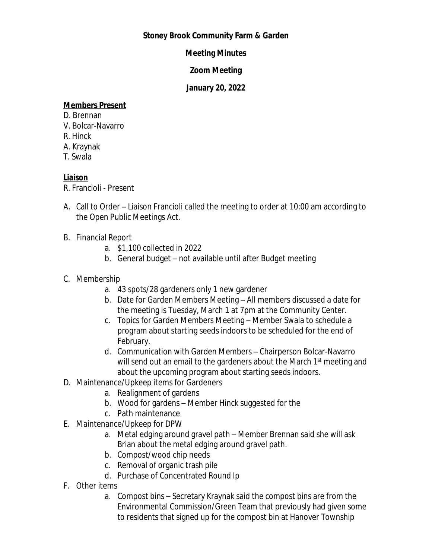## **Stoney Brook Community Farm & Garden**

## **Meeting Minutes**

#### **Zoom Meeting**

## **January 20, 2022**

### **Members Present**

- D. Brennan
- V. Bolcar-Navarro
- R. Hinck
- A. Kraynak
- T. Swala

# **Liaison**

R. Francioli - Present

- A. Call to Order Liaison Francioli called the meeting to order at 10:00 am according to the Open Public Meetings Act.
- B. Financial Report
	- a. \$1,100 collected in 2022
	- b. General budget not available until after Budget meeting
- C. Membership
	- a. 43 spots/28 gardeners only 1 new gardener
	- b. Date for Garden Members Meeting All members discussed a date for the meeting is Tuesday, March 1 at 7pm at the Community Center.
	- c. Topics for Garden Members Meeting Member Swala to schedule a program about starting seeds indoors to be scheduled for the end of February.
	- d. Communication with Garden Members Chairperson Bolcar-Navarro will send out an email to the gardeners about the March 1<sup>st</sup> meeting and about the upcoming program about starting seeds indoors.
- D. Maintenance/Upkeep items for Gardeners
	- a. Realignment of gardens
	- b. Wood for gardens Member Hinck suggested for the
	- c. Path maintenance
- E. Maintenance/Upkeep for DPW
	- a. Metal edging around gravel path Member Brennan said she will ask Brian about the metal edging around gravel path.
	- b. Compost/wood chip needs
	- c. Removal of organic trash pile
	- d. Purchase of Concentrated Round Ip
- F. Other items
	- a. Compost bins Secretary Kraynak said the compost bins are from the Environmental Commission/Green Team that previously had given some to residents that signed up for the compost bin at Hanover Township